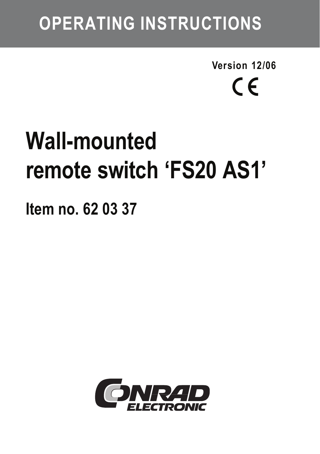## **OPERATING INSTRUCTIONS**

**Version 12/06**  $\epsilon$ 

# **Wall-mounted remote switch 'FS20 AS1'**

**Item no. 62 03 37**

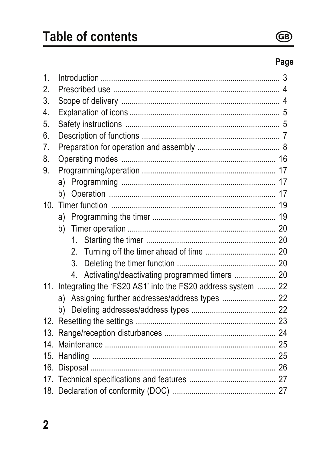

### Page

| 1.               |                                                                 |  |  |  |  |
|------------------|-----------------------------------------------------------------|--|--|--|--|
| 2.               |                                                                 |  |  |  |  |
| 3.               |                                                                 |  |  |  |  |
| 4.               |                                                                 |  |  |  |  |
| 5.               |                                                                 |  |  |  |  |
| 6.               |                                                                 |  |  |  |  |
| $\overline{7}$ . |                                                                 |  |  |  |  |
| 8.               |                                                                 |  |  |  |  |
| 9.               |                                                                 |  |  |  |  |
|                  |                                                                 |  |  |  |  |
|                  | b).                                                             |  |  |  |  |
|                  |                                                                 |  |  |  |  |
|                  |                                                                 |  |  |  |  |
|                  |                                                                 |  |  |  |  |
|                  | 1.                                                              |  |  |  |  |
|                  |                                                                 |  |  |  |  |
|                  | 3 <sub>1</sub>                                                  |  |  |  |  |
|                  | 4. Activating/deactivating programmed timers  20                |  |  |  |  |
|                  | 11. Integrating the 'FS20 AS1' into the FS20 address system  22 |  |  |  |  |
|                  | a) Assigning further addresses/address types  22                |  |  |  |  |
|                  |                                                                 |  |  |  |  |
|                  |                                                                 |  |  |  |  |
| 13.              |                                                                 |  |  |  |  |
|                  |                                                                 |  |  |  |  |
|                  |                                                                 |  |  |  |  |
| 16.              |                                                                 |  |  |  |  |
|                  |                                                                 |  |  |  |  |
|                  |                                                                 |  |  |  |  |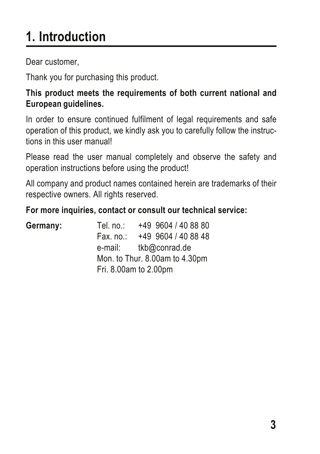## **1. Introduction**

Dear customer,

Thank you for purchasing this product.

**This product meets the requirements of both current national and European guidelines.**

In order to ensure continued fulfilment of legal requirements and safe operation of this product, we kindly ask you to carefully follow the instructions in this user manual!

Please read the user manual completely and observe the safety and operation instructions before using the product!

All company and product names contained herein are trademarks of their respective owners. All rights reserved.

**For more inquiries, contact or consult our technical service:**

| Germany: | Tel. no.: | +49 9604 / 40 88 80            |
|----------|-----------|--------------------------------|
|          | Fax. no.: | +49 9604 / 40 88 48            |
|          | e-mail:   | tkb@conrad.de                  |
|          |           | Mon. to Thur. 8.00am to 4.30pm |
|          |           | Fri. 8.00am to 2.00pm          |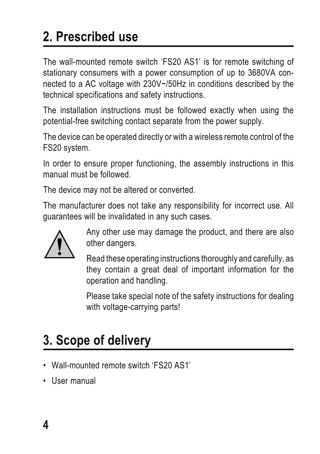## **2. Prescribed use**

The wall-mounted remote switch 'FS20 AS1' is for remote switching of stationary consumers with a power consumption of up to 3680VA connected to a AC voltage with 230V~/50Hz in conditions described by the technical specifications and safety instructions.

The installation instructions must be followed exactly when using the potential-free switching contact separate from the power supply.

The device can be operated directly or with a wireless remote control of the FS20 system.

In order to ensure proper functioning, the assembly instructions in this manual must be followed.

The device may not be altered or converted.

The manufacturer does not take any responsibility for incorrect use. All guarantees will be invalidated in any such cases.



Any other use may damage the product, and there are also other dangers.

Read these operating instructions thoroughly and carefully, as they contain a great deal of important information for the operation and handling.

Please take special note of the safety instructions for dealing with voltage-carrying parts!

## **3. Scope of delivery**

- Wall-mounted remote switch 'FS20 AS1'
- User manual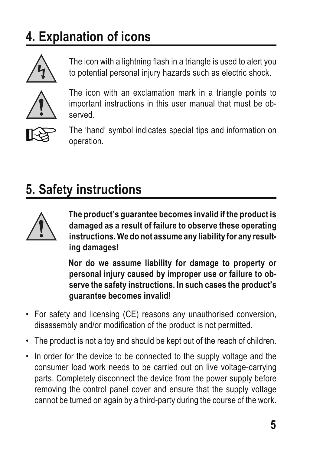## **4. Explanation of icons**



The icon with a lightning flash in a triangle is used to alert you to potential personal injury hazards such as electric shock.



The icon with an exclamation mark in a triangle points to important instructions in this user manual that must be observed.



 The 'hand' symbol indicates special tips and information on operation.

## **5. Safety instructions**



**The product's guarantee becomes invalid if the product is damaged as a result of failure to observe these operating instructions. We do not assume any liability for any resulting damages!**

**Nor do we assume liability for damage to property or personal injury caused by improper use or failure to observe the safety instructions. In such cases the product's guarantee becomes invalid!**

- For safety and licensing (CE) reasons any unauthorised conversion, disassembly and/or modification of the product is not permitted.
- The product is not a toy and should be kept out of the reach of children.
- In order for the device to be connected to the supply voltage and the consumer load work needs to be carried out on live voltage-carrying parts. Completely disconnect the device from the power supply before removing the control panel cover and ensure that the supply voltage cannot be turned on again by a third-party during the course of the work.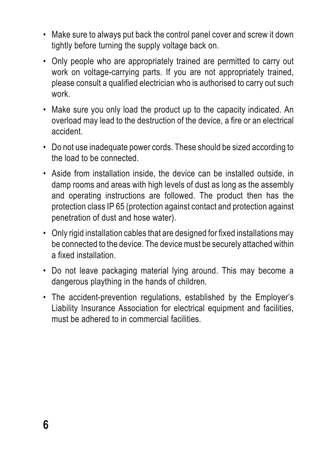- Make sure to always put back the control panel cover and screw it down tightly before turning the supply voltage back on.
- Only people who are appropriately trained are permitted to carry out work on voltage-carrying parts. If you are not appropriately trained, please consult a qualified electrician who is authorised to carry out such work.
- Make sure you only load the product up to the capacity indicated. An overload may lead to the destruction of the device, a fire or an electrical accident.
- Do not use inadequate power cords. These should be sized according to the load to be connected.
- Aside from installation inside, the device can be installed outside, in damp rooms and areas with high levels of dust as long as the assembly and operating instructions are followed. The product then has the protection class IP 65 (protection against contact and protection against penetration of dust and hose water).
- Only rigid installation cables that are designed for fixed installations may be connected to the device. The device must be securely attached within a fixed installation.
- Do not leave packaging material lying around. This may become a dangerous plaything in the hands of children.
- The accident-prevention regulations, established by the Employer's Liability Insurance Association for electrical equipment and facilities, must be adhered to in commercial facilities.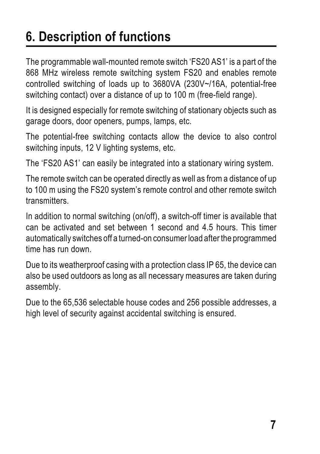## **6. Description of functions**

The programmable wall-mounted remote switch 'FS20 AS1' is a part of the 868 MHz wireless remote switching system FS20 and enables remote controlled switching of loads up to 3680VA (230V~/16A, potential-free switching contact) over a distance of up to 100 m (free-field range).

It is designed especially for remote switching of stationary objects such as garage doors, door openers, pumps, lamps, etc.

The potential-free switching contacts allow the device to also control switching inputs, 12 V lighting systems, etc.

The 'FS20 AS1' can easily be integrated into a stationary wiring system.

The remote switch can be operated directly as well as from a distance of up to 100 m using the FS20 system's remote control and other remote switch transmitters.

In addition to normal switching (on/off), a switch-off timer is available that can be activated and set between 1 second and 4.5 hours. This timer automatically switches off a turned-on consumer load after the programmed time has run down.

Due to its weatherproof casing with a protection class IP 65, the device can also be used outdoors as long as all necessary measures are taken during assembly.

Due to the 65,536 selectable house codes and 256 possible addresses, a high level of security against accidental switching is ensured.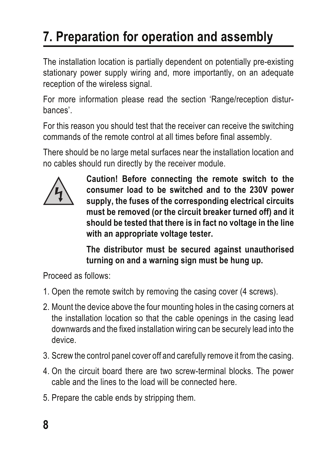## **7. Preparation for operation and assembly**

The installation location is partially dependent on potentially pre-existing stationary power supply wiring and, more importantly, on an adequate reception of the wireless signal.

For more information please read the section 'Range/reception disturbances'.

For this reason you should test that the receiver can receive the switching commands of the remote control at all times before final assembly.

There should be no large metal surfaces near the installation location and no cables should run directly by the receiver module.



**Caution! Before connecting the remote switch to the consumer load to be switched and to the 230V power supply, the fuses of the corresponding electrical circuits must be removed (or the circuit breaker turned off) and it should be tested that there is in fact no voltage in the line with an appropriate voltage tester.**

**The distributor must be secured against unauthorised turning on and a warning sign must be hung up.**

Proceed as follows:

- 1. Open the remote switch by removing the casing cover (4 screws).
- 2. Mount the device above the four mounting holes in the casing corners at the installation location so that the cable openings in the casing lead downwards and the fixed installation wiring can be securely lead into the device.
- 3. Screw the control panel cover off and carefully remove it from the casing.
- 4. On the circuit board there are two screw-terminal blocks. The power cable and the lines to the load will be connected here.
- 5. Prepare the cable ends by stripping them.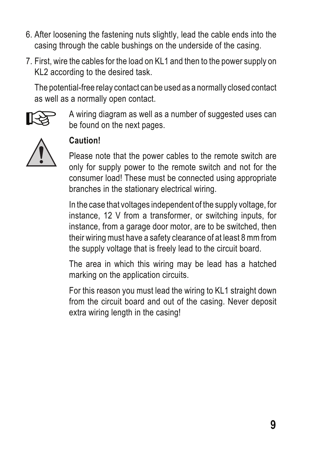- 6. After loosening the fastening nuts slightly, lead the cable ends into the casing through the cable bushings on the underside of the casing.
- 7. First, wire the cables for the load on KL1 and then to the power supply on KL2 according to the desired task.

The potential-free relay contact can be used as a normally closed contact as well as a normally open contact.



 A wiring diagram as well as a number of suggested uses can be found on the next pages.



#### **Caution!**

Please note that the power cables to the remote switch are only for supply power to the remote switch and not for the consumer load! These must be connected using appropriate branches in the stationary electrical wiring.

In the case that voltages independent of the supply voltage, for instance, 12 V from a transformer, or switching inputs, for instance, from a garage door motor, are to be switched, then their wiring must have a safety clearance of at least 8 mm from the supply voltage that is freely lead to the circuit board.

The area in which this wiring may be lead has a hatched marking on the application circuits.

For this reason you must lead the wiring to KL1 straight down from the circuit board and out of the casing. Never deposit extra wiring length in the casing!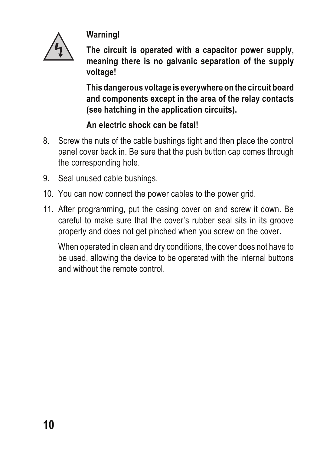

**Warning!**

**The circuit is operated with a capacitor power supply, meaning there is no galvanic separation of the supply voltage!**

**This dangerous voltage is everywhere on the circuit board and components except in the area of the relay contacts (see hatching in the application circuits).**

#### **An electric shock can be fatal!**

- 8. Screw the nuts of the cable bushings tight and then place the control panel cover back in. Be sure that the push button cap comes through the corresponding hole.
- 9. Seal unused cable bushings.
- 10. You can now connect the power cables to the power grid.
- 11. After programming, put the casing cover on and screw it down. Be careful to make sure that the cover's rubber seal sits in its groove properly and does not get pinched when you screw on the cover.

When operated in clean and dry conditions, the cover does not have to be used, allowing the device to be operated with the internal buttons and without the remote control.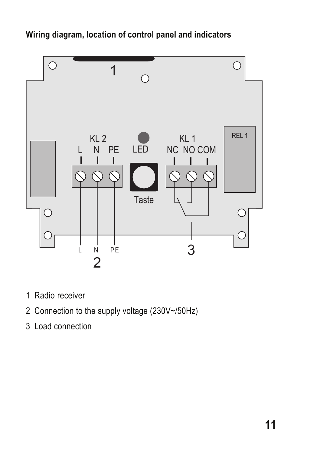**Wiring diagram, location of control panel and indicators**



- 1 Radio receiver
- 2 Connection to the supply voltage (230V~/50Hz)
- 3 Load connection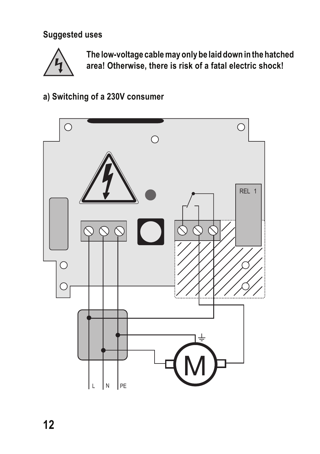**Suggested uses**



**The low-voltage cable may only be laid down in the hatched area! Otherwise, there is risk of a fatal electric shock!**

**a) Switching of a 230V consumer**

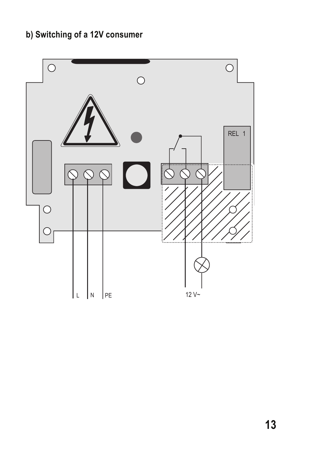#### **b) Switching of a 12V consumer**

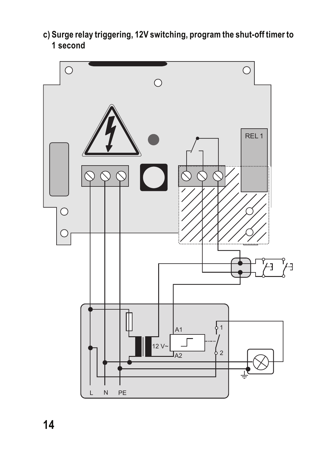**c) Surge relay triggering, 12V switching, program the shut-off timer to 1 second**

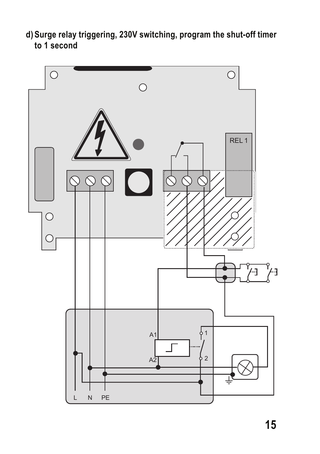**d) Surge relay triggering, 230V switching, program the shut-off timer to 1 second**

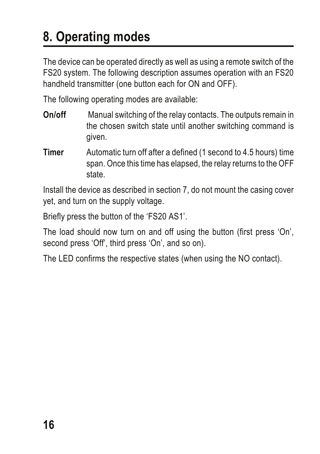## **8. Operating modes**

The device can be operated directly as well as using a remote switch of the FS20 system. The following description assumes operation with an FS20 handheld transmitter (one button each for ON and OFF).

The following operating modes are available:

- **On/off** Manual switching of the relay contacts. The outputs remain in the chosen switch state until another switching command is given.
- **Timer** Automatic turn off after a defined (1 second to 4.5 hours) time span. Once this time has elapsed, the relay returns to the OFF state.

Install the device as described in section 7, do not mount the casing cover yet, and turn on the supply voltage.

Briefly press the button of the 'FS20 AS1'.

The load should now turn on and off using the button (first press 'On', second press 'Off', third press 'On', and so on).

The LED confirms the respective states (when using the NO contact).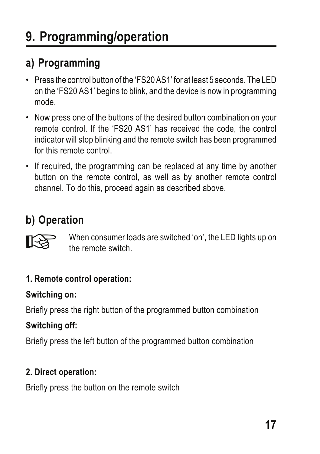## **a) Programming**

- Press the control button of the 'FS20 AS1' for at least 5 seconds. The LED on the 'FS20 AS1' begins to blink, and the device is now in programming mode.
- Now press one of the buttons of the desired button combination on your remote control. If the 'FS20 AS1' has received the code, the control indicator will stop blinking and the remote switch has been programmed for this remote control.
- If required, the programming can be replaced at any time by another button on the remote control, as well as by another remote control channel. To do this, proceed again as described above.

## **b) Operation**



When consumer loads are switched 'on', the LED lights up on the remote switch.

#### **1. Remote control operation:**

**Switching on:**

Briefly press the right button of the programmed button combination **Switching off:**

Briefly press the left button of the programmed button combination

#### **2. Direct operation:**

Briefly press the button on the remote switch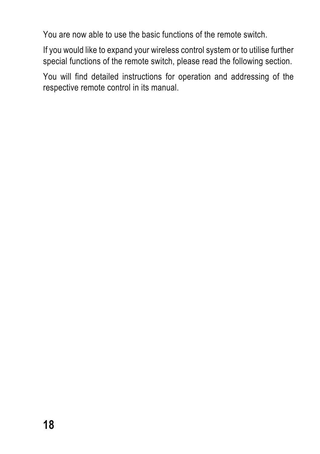You are now able to use the basic functions of the remote switch.

If you would like to expand your wireless control system or to utilise further special functions of the remote switch, please read the following section.

You will find detailed instructions for operation and addressing of the respective remote control in its manual.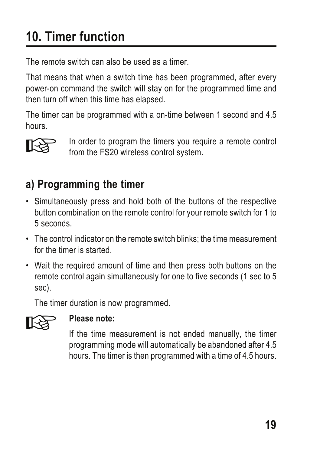## **10. Timer function**

The remote switch can also be used as a timer.

That means that when a switch time has been programmed, after every power-on command the switch will stay on for the programmed time and then turn off when this time has elapsed.

The timer can be programmed with a on-time between 1 second and 4.5 hours.



In order to program the timers you require a remote control from the FS20 wireless control system.

## **a) Programming the timer**

- Simultaneously press and hold both of the buttons of the respective button combination on the remote control for your remote switch for 1 to 5 seconds.
- The control indicator on the remote switch blinks; the time measurement for the timer is started
- Wait the required amount of time and then press both buttons on the remote control again simultaneously for one to five seconds (1 sec to 5 sec).

The timer duration is now programmed.



**Please note:**<br>If the time measurement is not ended manually, the timer programming mode will automatically be abandoned after 4.5 hours. The timer is then programmed with a time of 4.5 hours.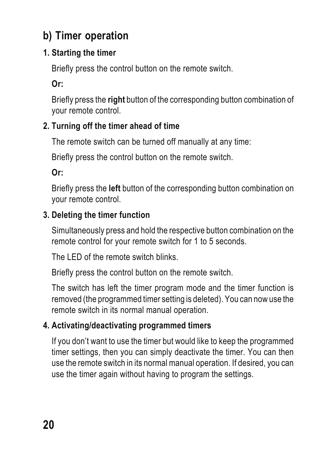#### **b) Timer operation**

#### **1. Starting the timer**

Briefly press the control button on the remote switch.

**Or:**

Briefly press the **right** button of the corresponding button combination of your remote control.

#### **2. Turning off the timer ahead of time**

The remote switch can be turned off manually at any time:

Briefly press the control button on the remote switch.

**Or:**

Briefly press the **left** button of the corresponding button combination on your remote control.

#### **3. Deleting the timer function**

Simultaneously press and hold the respective button combination on the remote control for your remote switch for 1 to 5 seconds.

The LED of the remote switch blinks.

Briefly press the control button on the remote switch.

The switch has left the timer program mode and the timer function is removed (the programmed timer setting is deleted). You can now use the remote switch in its normal manual operation.

#### **4. Activating/deactivating programmed timers**

If you don't want to use the timer but would like to keep the programmed timer settings, then you can simply deactivate the timer. You can then use the remote switch in its normal manual operation. If desired, you can use the timer again without having to program the settings.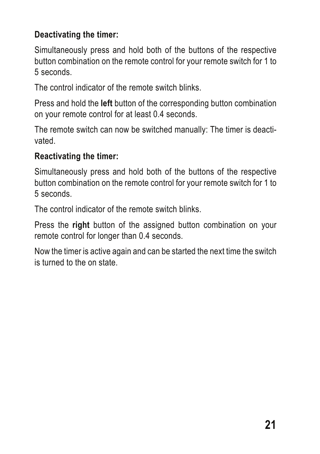#### **Deactivating the timer:**

Simultaneously press and hold both of the buttons of the respective button combination on the remote control for your remote switch for 1 to 5 seconds.

The control indicator of the remote switch blinks.

Press and hold the **left** button of the corresponding button combination on your remote control for at least 0.4 seconds.

The remote switch can now be switched manually: The timer is deactivated.

#### **Reactivating the timer:**

Simultaneously press and hold both of the buttons of the respective button combination on the remote control for your remote switch for 1 to 5 seconds.

The control indicator of the remote switch blinks.

Press the **right** button of the assigned button combination on your remote control for longer than 0.4 seconds.

Now the timer is active again and can be started the next time the switch is turned to the on state.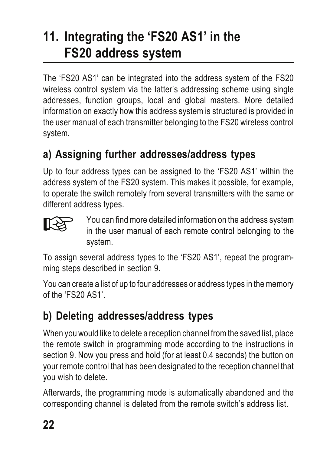## **11. Integrating the 'FS20 AS1' in the FS20 address system**

The 'FS20 AS1' can be integrated into the address system of the FS20 wireless control system via the latter's addressing scheme using single addresses, function groups, local and global masters. More detailed information on exactly how this address system is structured is provided in the user manual of each transmitter belonging to the FS20 wireless control system.

## **a) Assigning further addresses/address types**

Up to four address types can be assigned to the 'FS20 AS1' within the address system of the FS20 system. This makes it possible, for example, to operate the switch remotely from several transmitters with the same or different address types.



 You can find more detailed information on the address system in the user manual of each remote control belonging to the system.

To assign several address types to the 'FS20 AS1', repeat the programming steps described in section 9.

You can create a list of up to four addresses or address types in the memory of the 'FS20 AS1'.

### **b) Deleting addresses/address types**

When you would like to delete a reception channel from the saved list, place the remote switch in programming mode according to the instructions in section 9. Now you press and hold (for at least 0.4 seconds) the button on your remote control that has been designated to the reception channel that you wish to delete.

Afterwards, the programming mode is automatically abandoned and the corresponding channel is deleted from the remote switch's address list.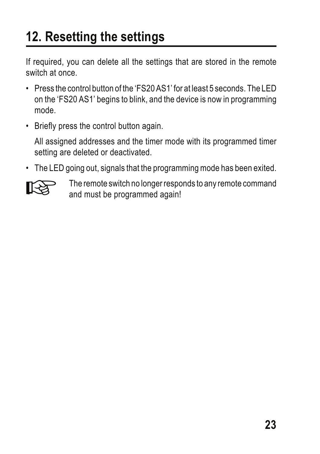## **12. Resetting the settings**

If required, you can delete all the settings that are stored in the remote switch at once.

- Press the control button of the 'FS20 AS1' for at least 5 seconds. The LED on the 'FS20 AS1' begins to blink, and the device is now in programming mode.
- Briefly press the control button again.

All assigned addresses and the timer mode with its programmed timer setting are deleted or deactivated.

• The LED going out, signals that the programming mode has been exited.



The remote switch no longer responds to any remote command and must be programmed again!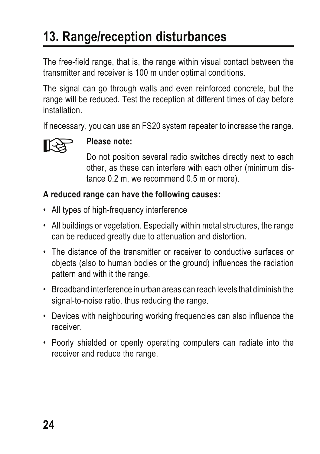## **13. Range/reception disturbances**

The free-field range, that is, the range within visual contact between the transmitter and receiver is 100 m under optimal conditions.

The signal can go through walls and even reinforced concrete, but the range will be reduced. Test the reception at different times of day before installation.

If necessary, you can use an FS20 system repeater to increase the range.



**Please note:**<br>
Do not position several radio switches directly next to each other, as these can interfere with each other (minimum distance 0.2 m, we recommend 0.5 m or more).

#### **A reduced range can have the following causes:**

- All types of high-frequency interference
- All buildings or vegetation. Especially within metal structures, the range can be reduced greatly due to attenuation and distortion.
- The distance of the transmitter or receiver to conductive surfaces or objects (also to human bodies or the ground) influences the radiation pattern and with it the range.
- Broadband interference in urban areas can reach levels that diminish the signal-to-noise ratio, thus reducing the range.
- Devices with neighbouring working frequencies can also influence the receiver.
- Poorly shielded or openly operating computers can radiate into the receiver and reduce the range.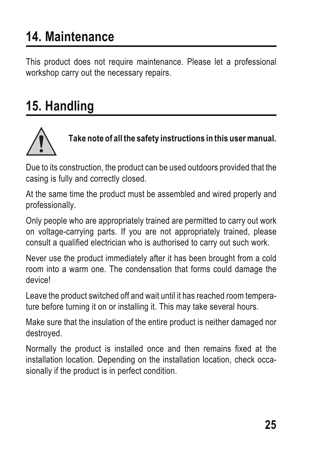## **14. Maintenance**

This product does not require maintenance. Please let a professional workshop carry out the necessary repairs.

## **15. Handling**



**Take note of all the safety instructions in this user manual.**

Due to its construction, the product can be used outdoors provided that the casing is fully and correctly closed.

At the same time the product must be assembled and wired properly and professionally.

Only people who are appropriately trained are permitted to carry out work on voltage-carrying parts. If you are not appropriately trained, please consult a qualified electrician who is authorised to carry out such work.

Never use the product immediately after it has been brought from a cold room into a warm one. The condensation that forms could damage the device!

Leave the product switched off and wait until it has reached room temperature before turning it on or installing it. This may take several hours.

Make sure that the insulation of the entire product is neither damaged nor destroyed.

Normally the product is installed once and then remains fixed at the installation location. Depending on the installation location, check occasionally if the product is in perfect condition.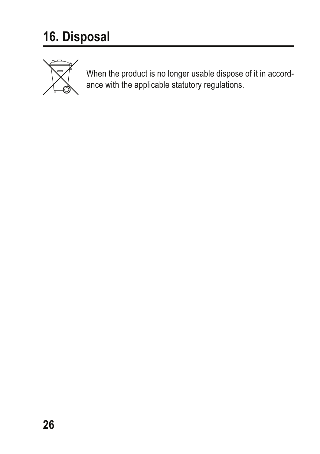

When the product is no longer usable dispose of it in accord-<br>ance with the applicable statutory regulations.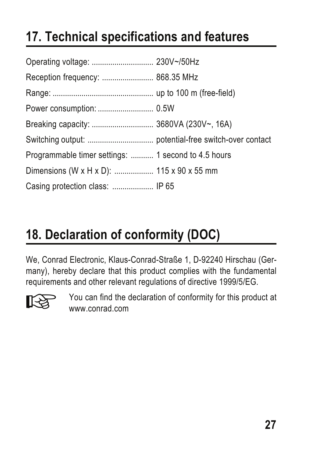## **17. Technical specifications and features**

| Reception frequency:  868.35 MHz                    |  |
|-----------------------------------------------------|--|
|                                                     |  |
|                                                     |  |
|                                                     |  |
|                                                     |  |
| Programmable timer settings:  1 second to 4.5 hours |  |
| Dimensions (W x H x D):  115 x 90 x 55 mm           |  |
| Casing protection class:  IP 65                     |  |

## **18. Declaration of conformity (DOC)**

We, Conrad Electronic, Klaus-Conrad-Straße 1, D-92240 Hirschau (Germany), hereby declare that this product complies with the fundamental requirements and other relevant regulations of directive 1999/5/EG.



 You can find the declaration of conformity for this product at www.conrad.com